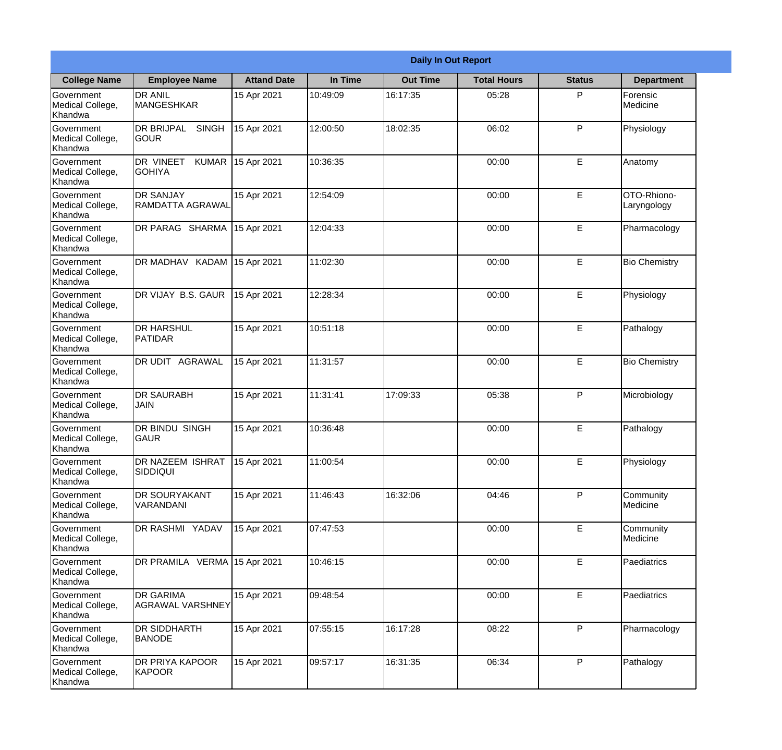|                                                  | <b>Daily In Out Report</b>                          |                    |          |                 |                    |               |                             |  |
|--------------------------------------------------|-----------------------------------------------------|--------------------|----------|-----------------|--------------------|---------------|-----------------------------|--|
| <b>College Name</b>                              | <b>Employee Name</b>                                | <b>Attand Date</b> | In Time  | <b>Out Time</b> | <b>Total Hours</b> | <b>Status</b> | <b>Department</b>           |  |
| Government<br>Medical College,<br>Khandwa        | <b>DR ANIL</b><br><b>MANGESHKAR</b>                 | 15 Apr 2021        | 10:49:09 | 16:17:35        | 05:28              | P             | Forensic<br><b>Medicine</b> |  |
| Government<br>Medical College,<br>Khandwa        | <b>DR BRIJPAL</b><br><b>SINGH</b><br> GOUR          | 15 Apr 2021        | 12:00:50 | 18:02:35        | 06:02              | P             | Physiology                  |  |
| <b>Government</b><br>Medical College,<br>Khandwa | <b>DR VINEET</b><br><b>KUMAR</b><br><b>I</b> GOHIYA | 15 Apr 2021        | 10:36:35 |                 | 00:00              | E             | Anatomy                     |  |
| Government<br>Medical College,<br>Khandwa        | <b>DR SANJAY</b><br><b>RAMDATTA AGRAWAL</b>         | 15 Apr 2021        | 12:54:09 |                 | 00:00              | E             | OTO-Rhiono-<br>Laryngology  |  |
| Government<br>Medical College,<br>Khandwa        | DR PARAG SHARMA                                     | 15 Apr 2021        | 12:04:33 |                 | 00:00              | E             | Pharmacology                |  |
| Government<br>Medical College,<br>Khandwa        | DR MADHAV KADAM                                     | 15 Apr 2021        | 11:02:30 |                 | 00:00              | E             | <b>Bio Chemistry</b>        |  |
| Government<br>Medical College,<br>Khandwa        | DR VIJAY B.S. GAUR                                  | 15 Apr 2021        | 12:28:34 |                 | 00:00              | E             | Physiology                  |  |
| Government<br>Medical College,<br>Khandwa        | <b>DR HARSHUL</b><br>PATIDAR                        | 15 Apr 2021        | 10:51:18 |                 | 00:00              | E             | Pathalogy                   |  |
| Government<br>Medical College,<br>Khandwa        | <b>DR UDIT AGRAWAL</b>                              | 15 Apr 2021        | 11:31:57 |                 | 00:00              | E             | <b>Bio Chemistry</b>        |  |
| Government<br>Medical College,<br>Khandwa        | <b>DR SAURABH</b><br><b>JAIN</b>                    | 15 Apr 2021        | 11:31:41 | 17:09:33        | 05:38              | P             | Microbiology                |  |
| Government<br>Medical College,<br>Khandwa        | <b>DR BINDU SINGH</b><br> GAUR                      | 15 Apr 2021        | 10:36:48 |                 | 00:00              | E             | Pathalogy                   |  |
| Government<br>Medical College,<br>Khandwa        | DR NAZEEM ISHRAT<br><b>SIDDIQUI</b>                 | 15 Apr 2021        | 11:00:54 |                 | 00:00              | E             | Physiology                  |  |
| Government<br>Medical College,<br>Khandwa        | <b>IDR SOURYAKANT</b><br>VARANDANI                  | 15 Apr 2021        | 11:46:43 | 16:32:06        | 04:46              | P             | Community<br>Medicine       |  |
| Government<br>Medical College,<br>Khandwa        | <b>DR RASHMI YADAV</b>                              | 15 Apr 2021        | 07:47:53 |                 | 00:00              | E             | Community<br>Medicine       |  |
| Government<br>Medical College,<br>Khandwa        | DR PRAMILA VERMA 15 Apr 2021                        |                    | 10:46:15 |                 | 00:00              | E             | Paediatrics                 |  |
| Government<br>Medical College,<br>Khandwa        | <b>DR GARIMA</b><br>AGRAWAL VARSHNEY                | 15 Apr 2021        | 09:48:54 |                 | 00:00              | $\mathsf E$   | Paediatrics                 |  |
| Government<br>Medical College,<br>Khandwa        | <b>DR SIDDHARTH</b><br><b>BANODE</b>                | 15 Apr 2021        | 07:55:15 | 16:17:28        | 08:22              | P             | Pharmacology                |  |
| Government<br>Medical College,<br>Khandwa        | <b>DR PRIYA KAPOOR</b><br>KAPOOR                    | 15 Apr 2021        | 09:57:17 | 16:31:35        | 06:34              | P             | Pathalogy                   |  |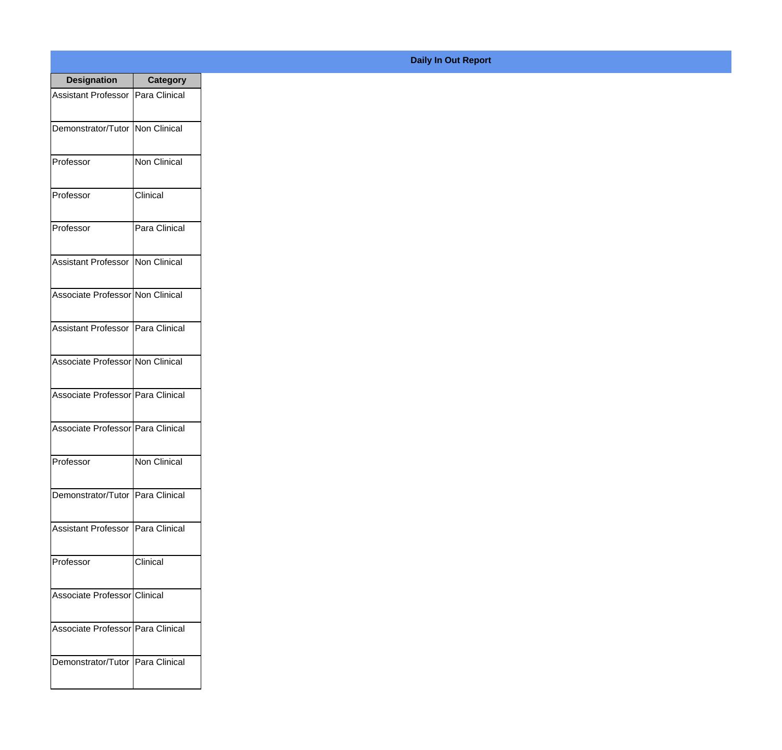| <b>Designation</b>                  | Category      |
|-------------------------------------|---------------|
| Assistant Professor   Para Clinical |               |
| Demonstrator/Tutor   Non Clinical   |               |
| Professor                           | Non Clinical  |
| Professor                           | Clinical      |
| Professor                           | Para Clinical |
| Assistant Professor                 | Non Clinical  |
| Associate Professor Non Clinical    |               |
| Assistant Professor   Para Clinical |               |
| Associate Professor Non Clinical    |               |
| Associate Professor Para Clinical   |               |
| Associate Professor   Para Clinical |               |
| Professor                           | Non Clinical  |
| Demonstrator/Tutor   Para Clinical  |               |
| Assistant Professor                 | Para Clinical |
| Professor                           | Clinical      |
| Associate Professor Clinical        |               |
| Associate Professor   Para Clinical |               |
| Demonstrator/Tutor   Para Clinical  |               |

**Daily In Out Report**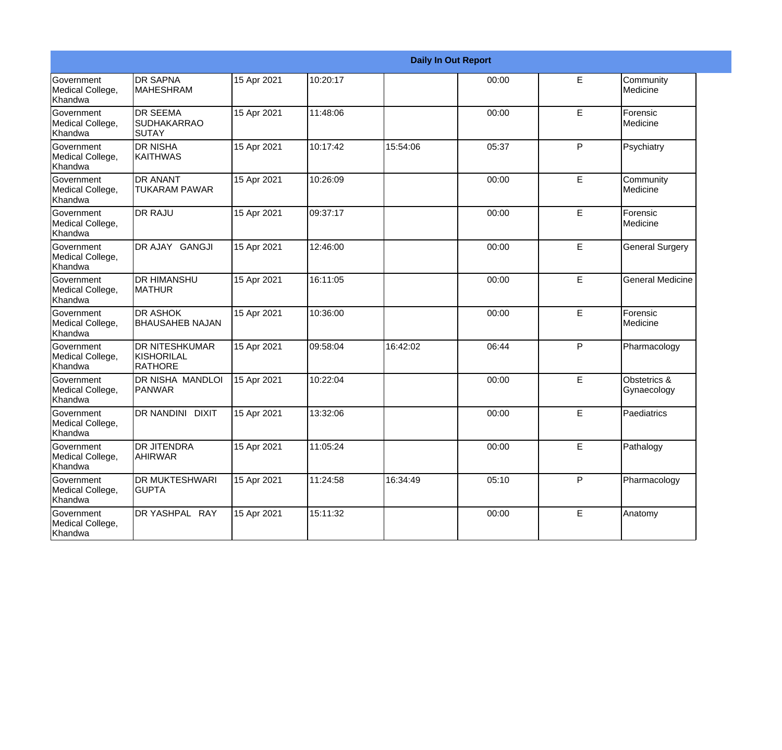|                                                  |                                                       |             |          |          | <b>Daily In Out Report</b> |   |                             |
|--------------------------------------------------|-------------------------------------------------------|-------------|----------|----------|----------------------------|---|-----------------------------|
| <b>Government</b><br>Medical College,<br>Khandwa | <b>DR SAPNA</b><br><b>MAHESHRAM</b>                   | 15 Apr 2021 | 10:20:17 |          | 00:00                      | E | Community<br>Medicine       |
| Government<br>Medical College,<br>Khandwa        | <b>DR SEEMA</b><br><b>SUDHAKARRAO</b><br>ISUTAY       | 15 Apr 2021 | 11:48:06 |          | 00:00                      | E | Forensic<br>Medicine        |
| <b>Government</b><br>Medical College,<br>Khandwa | <b>DR NISHA</b><br><b>KAITHWAS</b>                    | 15 Apr 2021 | 10:17:42 | 15:54:06 | 05:37                      | P | Psychiatry                  |
| Government<br>Medical College,<br>Khandwa        | <b>DR ANANT</b><br><b>TUKARAM PAWAR</b>               | 15 Apr 2021 | 10:26:09 |          | 00:00                      | E | Community<br>Medicine       |
| Government<br>Medical College,<br>Khandwa        | <b>DR RAJU</b>                                        | 15 Apr 2021 | 09:37:17 |          | 00:00                      | E | Forensic<br>Medicine        |
| Government<br>Medical College,<br>Khandwa        | DR AJAY GANGJI                                        | 15 Apr 2021 | 12:46:00 |          | 00:00                      | E | <b>General Surgery</b>      |
| <b>Government</b><br>Medical College,<br>Khandwa | IDR HIMANSHU<br><b>MATHUR</b>                         | 15 Apr 2021 | 16:11:05 |          | 00:00                      | E | <b>General Medicine</b>     |
| Government<br>Medical College,<br>Khandwa        | <b>DR ASHOK</b><br><b>BHAUSAHEB NAJAN</b>             | 15 Apr 2021 | 10:36:00 |          | 00:00                      | E | Forensic<br>Medicine        |
| Government<br>Medical College,<br>Khandwa        | <b>DR NITESHKUMAR</b><br>KISHORILAL<br><b>RATHORE</b> | 15 Apr 2021 | 09:58:04 | 16:42:02 | 06:44                      | P | Pharmacology                |
| Government<br>Medical College,<br>Khandwa        | <b>DR NISHA MANDLOI</b><br><b>PANWAR</b>              | 15 Apr 2021 | 10:22:04 |          | 00:00                      | E | Obstetrics &<br>Gynaecology |
| Government<br>Medical College,<br><b>Khandwa</b> | <b>DR NANDINI DIXIT</b>                               | 15 Apr 2021 | 13:32:06 |          | 00:00                      | E | Paediatrics                 |
| Government<br>Medical College,<br>Khandwa        | <b>DR JITENDRA</b><br><b>AHIRWAR</b>                  | 15 Apr 2021 | 11:05:24 |          | 00:00                      | E | Pathalogy                   |
| Government<br>Medical College,<br>Khandwa        | <b>DR MUKTESHWARI</b><br><b>GUPTA</b>                 | 15 Apr 2021 | 11:24:58 | 16:34:49 | 05:10                      | P | Pharmacology                |
| Government<br>Medical College,<br>Khandwa        | DR YASHPAL RAY                                        | 15 Apr 2021 | 15:11:32 |          | 00:00                      | E | Anatomy                     |